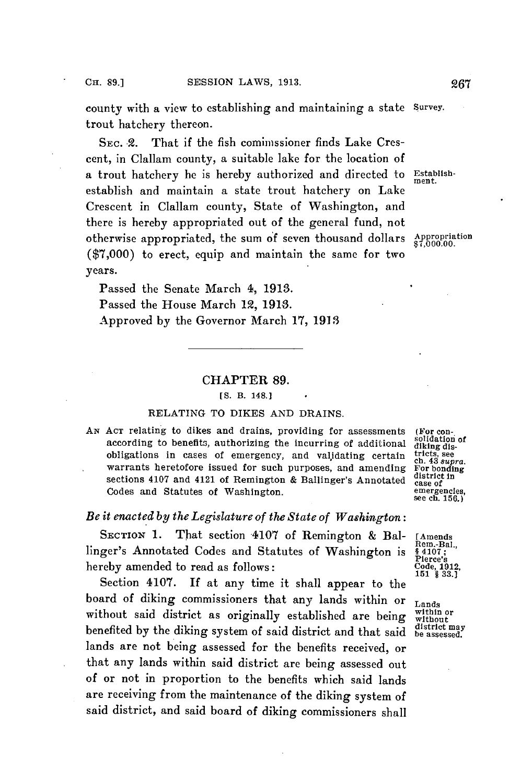county with a view to establishing and maintaining a state Survey. trout hatchery thereon.

SEc. 2. That if the fish comimssioner finds Lake Crescent, in Clallam county, a suitable lake for the location of a trout hatchery he is hereby authorized and directed to Establishestablish and maintain a state trout hatchery on Lake Crescent in Clallam county, State of Washington, and there is hereby appropriated out of the general fund, not otherwise appropriated, the sum of seven thousand dollars  $\frac{\text{Approximation}}{\$7,000.00}$ **(\$7,000)** to erect, equip and maintain the same for two years.

ment.

Passed the Senate March 4, **1913.** Passed the House March 12, **1913.** Approved **by** the Governor March **17, 1913**

## CHAPTER **89.**

## **[S.** B. 148.]

## **RELATING** TO DIKES **AND** DRAINS.

AN ACT relating to dikes and drains, providing for assessments (For con-<br>according to bonefits outborising the incurring of additional solidation of according to benefits, authorizing the incurring of additional **diking** disobligations in cases of emergency, and validating certain  $\frac{\text{tricts, see}}{\text{ch.43} \text{ super.}}$ <br>warrants heretofore issued for such purposes, and amending For bonding<br>sections 4107 and 4121 of Remington & Ballinger's Annotated distr Codes and Statutes of Washington.

see ch. **156.)**

## *Be it enacted by the Legislature of the State of Washington:*

SECTION 1. That section 4107 of Remington & Bal- [Amends ger's Annotated Codes and Statutes of Washington is \$4107; linger's Annotated Codes and Statutes of Washington is hereby amended to read as follows:<br>Section 4107. If at any time it shall appear to the

board of diking commissioners that any lands within or **Lands** without said district as originally established are being without  $\frac{1}{100}$  without may be a being without may benefited by the diking system of said district and that said be assessed. lands are not being assessed for the benefits received, or that any lands within said district are being assessed out of or not in proportion to the benefits which said lands are receiving from the maintenance of the diking system of said district, and said board of diking commissioners shall

Pierce's<br>Code, 1912,<br>151 \$ 33.1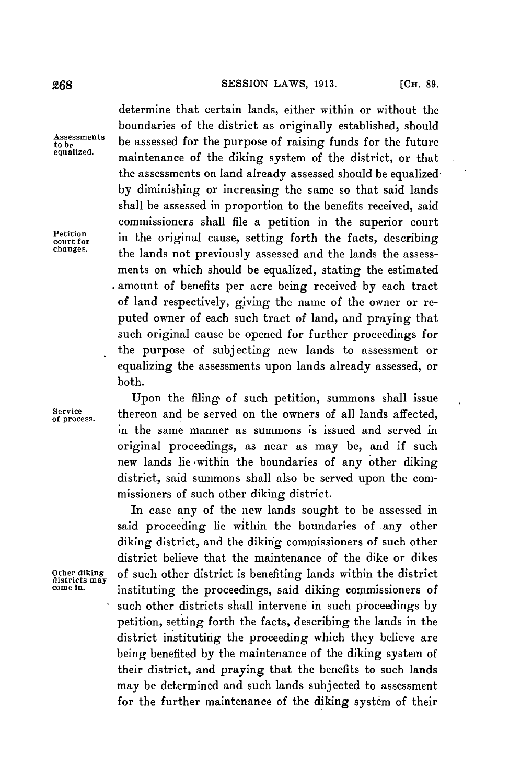determine that certain lands, either within or without the boundaries of the district as originally established, should Assessments be assessed for the purpose of raising funds for the future<br>equalized. maintenance of the diking system of the district, or that the assessments on land already assessed should be equalized **by** diminishing or increasing the same so that said lands shall be assessed in proportion to the benefits received, said commissioners shall file a petition in the superior court Petition in the original cause, setting forth the facts, describing changes. **changes.** the lands not previously assessed and the lands the assessments on which should be equalized, stating the estimated amount of benefits per acre being received **by** each tract of land respectively, giving the name of the owner or reputed owner of each such tract of land, and praying that such original cause be opened for further proceedings for the purpose of subjecting new lands to assessment or equalizing the assessments upon lands already assessed, or both.

Upon the filing of such petition, summons shall issue Service **thereon** and be served on the owners of all lands affected, in the same manner as summons is issued and served in original proceedings, as near as may be, and if such new lands lie -within the boundaries of any other diking district, said summons shall also be served upon the commissioners of such other diking district.

In case any of the new lands sought to be assessed in said proceeding lie within the boundaries of any other diking district, and the diking commissioners of such other district believe that the maintenance of the dike or dikes **Other diking** of such other district is benefiting lands within the district **districts may come in.** instituting the proceedings, said diking commissioners of such other districts shall intervene in such proceedings by petition, setting forth the facts, describing the lands in the district instituting the proceeding which they believe are being benefited **by** the maintenance of the diking system of their district, and praying that the benefits to such lands may be determined and such lands subjected to assessment for the further maintenance of the diking system of their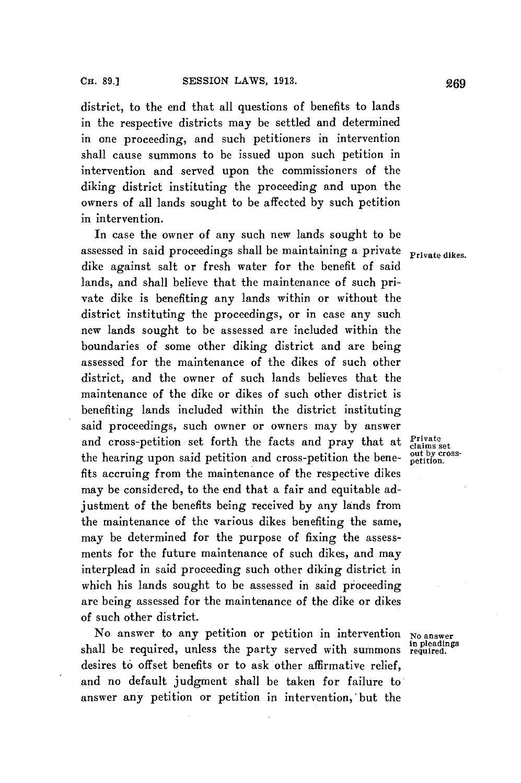district, to the end that all questions of benefits to lands in the respective districts may be settled and determined in one proceeding, and such petitioners in intervention shall cause summons to be issued upon such petition in intervention and served upon the commissioners of the diking district instituting the proceeding and upon the owners of all lands sought to be affected **by** such petition in intervention.

In case the owner of any such new lands sought to be assessed in said proceedings shall be maintaining a private **Private dikes.** dike against salt or fresh water for the benefit of said lands, and shall believe that the maintenance of such private dike is benefiting any lands within or without the district instituting the proceedings, or in case any such new lands sought to be assessed are included within the boundaries of some other diking district and are being assessed for the maintenance of the dikes of such other district, and the owner of such lands believes that the maintenance of the dike or dikes of such other district is benefiting lands included within the district instituting said proceedings, such owner or owners may **by** answer and cross-petition set forth the facts and pray that at <sup>Private</sup><br>the begring upon said potition and grees petition the bang out by crossthe hearing upon said petition and cross-petition the bene-  $\frac{\text{out by cr}}{\text{netition}}$ fits accruing from the maintenance of the respective dikes may be considered, to the end that a fair and equitable adjustment of the benefits being received **by** any lands from the maintenance **of** the various dikes benefiting the same, may be determined for the purpose of fixing the assessments for the future maintenance of such dikes, and may interplead in said proceeding such other diking district in which his lands sought to be assessed in said proceeding are being assessed for the maintenance of the dike or dikes of such other district.

No answer to any petition or petition in intervention **No answer in pleadings** shall be required, unless the party served with summons **required.** desires to offset benefits or to ask other affirmative relief, and no default judgment shall be taken for failure to answer any petition or petition in intervention,'but the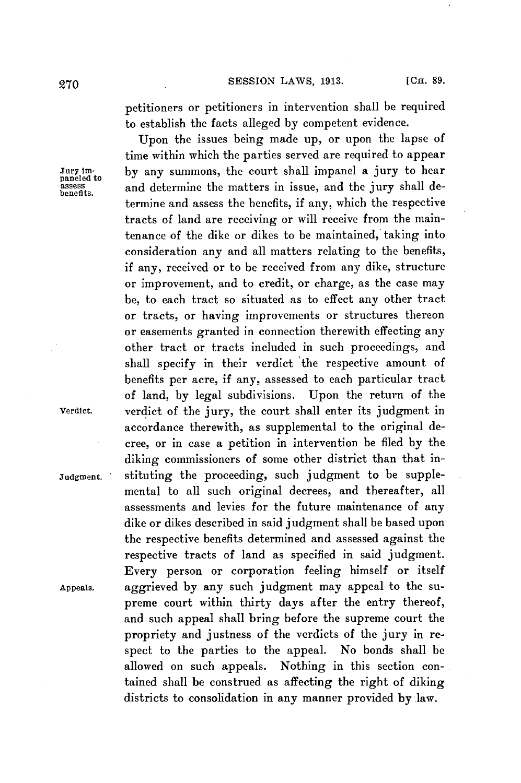petitioners or petitioners in intervention shall be required to establish the facts alleged **by** competent evidence.

Upon the issues being made up, or upon the lapse of time within which the parties served are required to appear Jury im- **by** any summons, the court shall impanel a jury to hear parcess assess and determine the matters in issue, and the jury shall determine and assess the benefits, if any, which the respective tracts of land are receiving or will receive from the maintenance of the dike or dikes to be maintained, taking into consideration any and all matters relating to the benefits, if any, received or to be received from any dike, structure or improvement, and to credit, or charge, as the case may be, to each tract so situated as to effect any other tract or tracts, or having improvements or structures thereon or easements granted in connection therewith effecting any other tract or tracts included in such proceedings, and shall specify in their verdict 'the respective amount of benefits per acre, if any, assessed to each particular tract of land, **by** legal subdivisions. Upon the return of the Verdict. verdict of the jury, the court shall enter its judgment in accordance therewith, as supplemental to the original decree, or in case a petition in intervention be filed **by** the diking commissioners of some other district than that in-Judgment. stituting the proceeding, such judgment to be supplemental to all such original decrees, and thereafter, all assessments and levies for the future maintenance of any dike or dikes described in said judgment shall be based upon the respective benefits determined and assessed against the respective tracts of land as specified in said judgment. Every person or corporation feeling himself or itself Appeals. aggrieved **by** any such judgment may appeal to the supreme court within thirty days after the entry thereof, and such appeal shall bring before the supreme court the propriety and justness of the verdicts of the jury in respect to the parties to the appeal. No bonds shall be allowed on such appeals. Nothing in this section contained shall be construed as affecting the right of diking districts to consolidation in any manner provided by law.